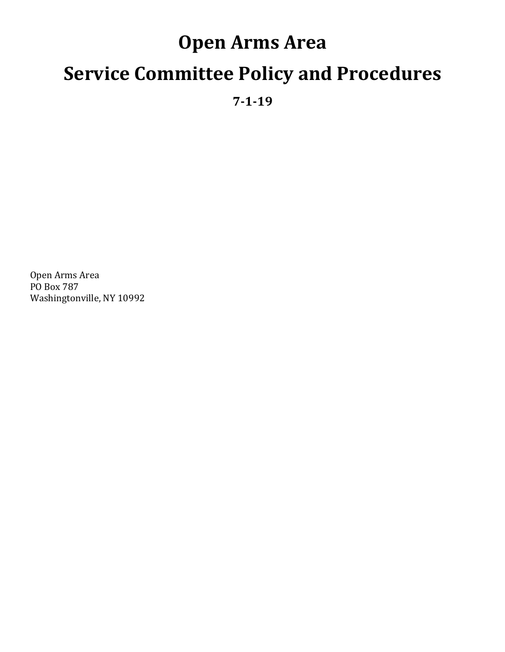# **Open Arms Area Service Committee Policy and Procedures**

**7-1-19** 

Open Arms Area PO Box 787 Washingtonville, NY 10992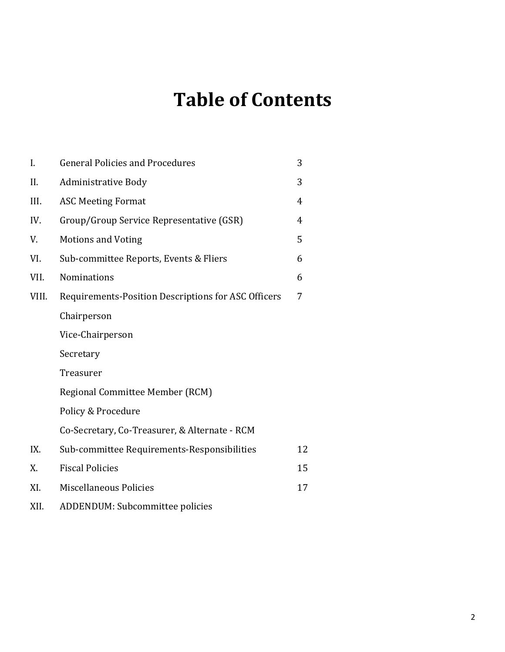## **Table of Contents**

| I.    | <b>General Policies and Procedures</b>              | 3  |
|-------|-----------------------------------------------------|----|
| II.   | <b>Administrative Body</b>                          | 3  |
| III.  | <b>ASC Meeting Format</b>                           | 4  |
| IV.   | Group/Group Service Representative (GSR)            | 4  |
| V.    | <b>Motions and Voting</b>                           | 5  |
| VI.   | Sub-committee Reports, Events & Fliers              | 6  |
| VII.  | <b>Nominations</b>                                  | 6  |
| VIII. | Requirements-Position Descriptions for ASC Officers | 7  |
|       | Chairperson                                         |    |
|       | Vice-Chairperson                                    |    |
|       | Secretary                                           |    |
|       | Treasurer                                           |    |
|       | Regional Committee Member (RCM)                     |    |
|       | Policy & Procedure                                  |    |
|       | Co-Secretary, Co-Treasurer, & Alternate - RCM       |    |
| IX.   | Sub-committee Requirements-Responsibilities         | 12 |
| X.    | <b>Fiscal Policies</b>                              | 15 |
| XI.   | <b>Miscellaneous Policies</b>                       | 17 |
| XII.  | ADDENDUM: Subcommittee policies                     |    |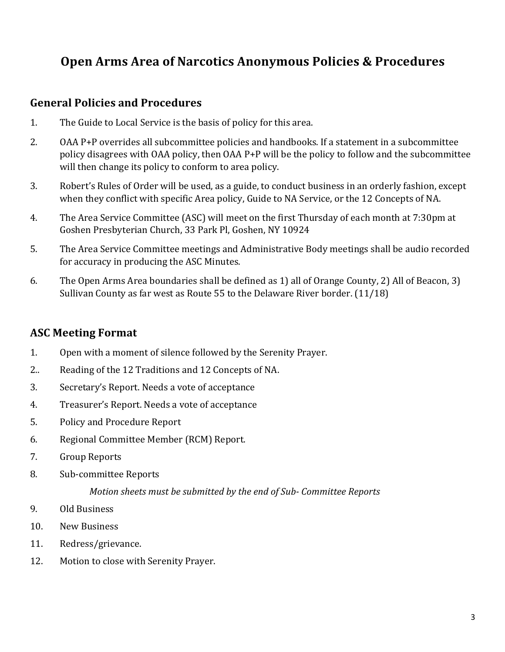### **Open Arms Area of Narcotics Anonymous Policies & Procedures**

#### **General Policies and Procedures**

- 1. The Guide to Local Service is the basis of policy for this area.
- 2. OAA P+P overrides all subcommittee policies and handbooks. If a statement in a subcommittee policy disagrees with OAA policy, then OAA P+P will be the policy to follow and the subcommittee will then change its policy to conform to area policy.
- 3. Robert's Rules of Order will be used, as a guide, to conduct business in an orderly fashion, except when they conflict with specific Area policy, Guide to NA Service, or the 12 Concepts of NA.
- 4. The Area Service Committee (ASC) will meet on the first Thursday of each month at 7:30pm at Goshen Presbyterian Church, 33 Park Pl, Goshen, NY 10924
- 5. The Area Service Committee meetings and Administrative Body meetings shall be audio recorded for accuracy in producing the ASC Minutes.
- 6. The Open Arms Area boundaries shall be defined as 1) all of Orange County, 2) All of Beacon, 3) Sullivan County as far west as Route 55 to the Delaware River border.  $(11/18)$

#### **ASC Meeting Format**

- 1. Open with a moment of silence followed by the Serenity Prayer.
- 2.. Reading of the 12 Traditions and 12 Concepts of NA.
- 3. Secretary's Report. Needs a vote of acceptance
- 4. Treasurer's Report. Needs a vote of acceptance
- 5. Policy and Procedure Report
- 6. Regional Committee Member (RCM) Report.
- 7. Group Reports
- 8. Sub-committee Reports

*Motion sheets must be submitted by the end of Sub- Committee Reports* 

- 9. Old Business
- 10. New Business
- 11. Redress/grievance.
- 12. Motion to close with Serenity Prayer.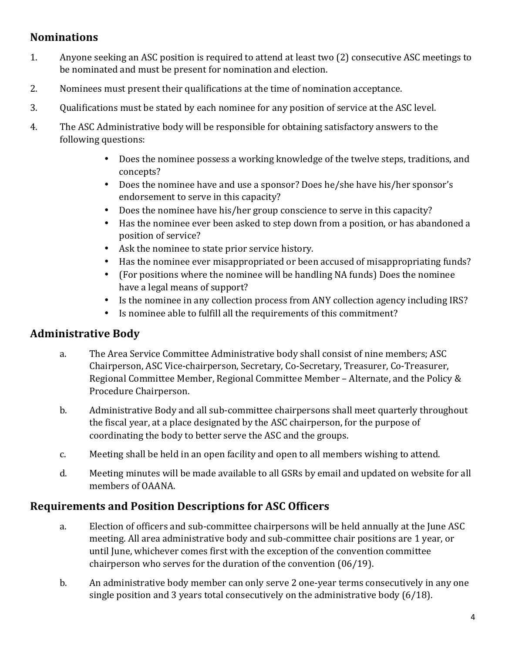### **Nominations**

- 1. Anyone seeking an ASC position is required to attend at least two (2) consecutive ASC meetings to be nominated and must be present for nomination and election.
- 2. Nominees must present their qualifications at the time of nomination acceptance.
- 3. Qualifications must be stated by each nominee for any position of service at the ASC level.
- 4. The ASC Administrative body will be responsible for obtaining satisfactory answers to the following questions:
	- Does the nominee possess a working knowledge of the twelve steps, traditions, and concepts?
	- Does the nominee have and use a sponsor? Does he/she have his/her sponsor's endorsement to serve in this capacity?
	- Does the nominee have his/her group conscience to serve in this capacity?
	- Has the nominee ever been asked to step down from a position, or has abandoned a position of service?
	- Ask the nominee to state prior service history.
	- Has the nominee ever misappropriated or been accused of misappropriating funds?
	- (For positions where the nominee will be handling NA funds) Does the nominee have a legal means of support?
	- Is the nominee in any collection process from ANY collection agency including IRS?
	- Is nominee able to fulfill all the requirements of this commitment?

#### **Administrative Body**

- a. The Area Service Committee Administrative body shall consist of nine members; ASC Chairperson, ASC Vice-chairperson, Secretary, Co-Secretary, Treasurer, Co-Treasurer, Regional Committee Member, Regional Committee Member – Alternate, and the Policy & Procedure Chairperson.
- b. Administrative Body and all sub-committee chairpersons shall meet quarterly throughout the fiscal year, at a place designated by the ASC chairperson, for the purpose of coordinating the body to better serve the ASC and the groups.
- c. Meeting shall be held in an open facility and open to all members wishing to attend.
- d. Meeting minutes will be made available to all GSRs by email and updated on website for all members of OAANA.

### **Requirements and Position Descriptions for ASC Officers**

- a. Election of officers and sub-committee chairpersons will be held annually at the June ASC meeting. All area administrative body and sub-committee chair positions are 1 year, or until June, whichever comes first with the exception of the convention committee chairperson who serves for the duration of the convention  $(06/19)$ .
- b. An administrative body member can only serve 2 one-year terms consecutively in any one single position and 3 years total consecutively on the administrative body  $(6/18)$ .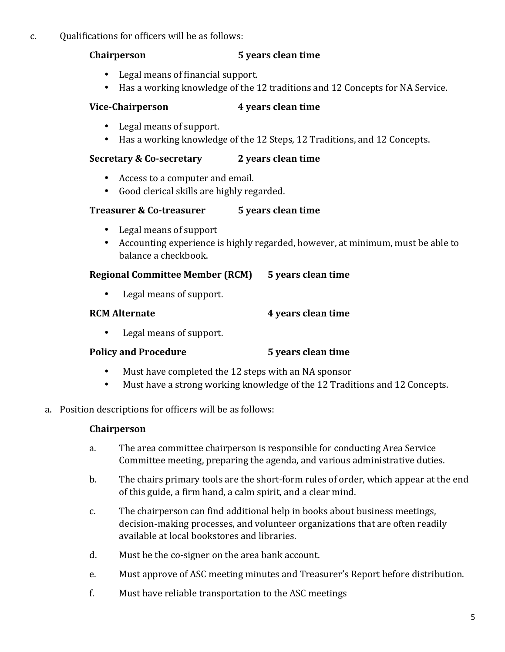#### c. Qualifications for officers will be as follows:

#### **Chairperson 5** years clean time

- Legal means of financial support.
- Has a working knowledge of the 12 traditions and 12 Concepts for NA Service.

#### **Vice-Chairperson 4** years clean time

- Legal means of support.
- Has a working knowledge of the 12 Steps, 12 Traditions, and 12 Concepts.

#### **Secretary & Co-secretary** 2 years clean time

- Access to a computer and email.
- Good clerical skills are highly regarded.

#### **Treasurer & Co-treasurer 5** years clean time

- Legal means of support
- Accounting experience is highly regarded, however, at minimum, must be able to balance a checkbook.

#### **Regional Committee Member (RCM)** 5 years clean time

• Legal means of support.

#### **RCM** Alternate **4** years clean time

• Legal means of support.

#### **Policy and Procedure 5** years clean time

- Must have completed the 12 steps with an NA sponsor
- Must have a strong working knowledge of the 12 Traditions and 12 Concepts.
- a. Position descriptions for officers will be as follows:

#### **Chairperson**

- a. The area committee chairperson is responsible for conducting Area Service Committee meeting, preparing the agenda, and various administrative duties.
- b. The chairs primary tools are the short-form rules of order, which appear at the end of this guide, a firm hand, a calm spirit, and a clear mind.
- c. The chairperson can find additional help in books about business meetings, decision-making processes, and volunteer organizations that are often readily available at local bookstores and libraries.
- d. Must be the co-signer on the area bank account.
- e. Must approve of ASC meeting minutes and Treasurer's Report before distribution.
- f. Must have reliable transportation to the ASC meetings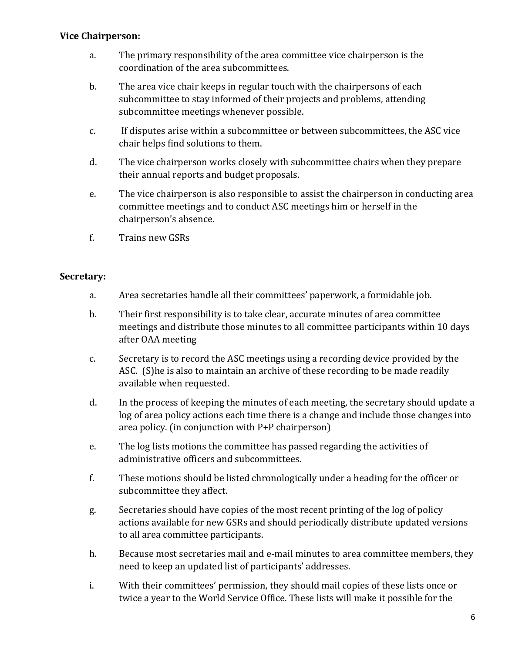#### **Vice Chairperson:**

- a. The primary responsibility of the area committee vice chairperson is the coordination of the area subcommittees.
- b. The area vice chair keeps in regular touch with the chairpersons of each subcommittee to stay informed of their projects and problems, attending subcommittee meetings whenever possible.
- c. If disputes arise within a subcommittee or between subcommittees, the ASC vice chair helps find solutions to them.
- d. The vice chairperson works closely with subcommittee chairs when they prepare their annual reports and budget proposals.
- e. The vice chairperson is also responsible to assist the chairperson in conducting area committee meetings and to conduct ASC meetings him or herself in the chairperson's absence.
- f. Trains new GSRs

#### **Secretary:**

- a. Area secretaries handle all their committees' paperwork, a formidable job.
- b. Their first responsibility is to take clear, accurate minutes of area committee meetings and distribute those minutes to all committee participants within 10 days after OAA meeting
- c. Secretary is to record the ASC meetings using a recording device provided by the ASC. (S)he is also to maintain an archive of these recording to be made readily available when requested.
- d. In the process of keeping the minutes of each meeting, the secretary should update a log of area policy actions each time there is a change and include those changes into area policy. (in conjunction with  $P+P$  chairperson)
- e. The log lists motions the committee has passed regarding the activities of administrative officers and subcommittees.
- f. These motions should be listed chronologically under a heading for the officer or subcommittee they affect.
- g. Secretaries should have copies of the most recent printing of the log of policy actions available for new GSRs and should periodically distribute updated versions to all area committee participants.
- h. Because most secretaries mail and e-mail minutes to area committee members, they need to keep an updated list of participants' addresses.
- i. With their committees' permission, they should mail copies of these lists once or twice a year to the World Service Office. These lists will make it possible for the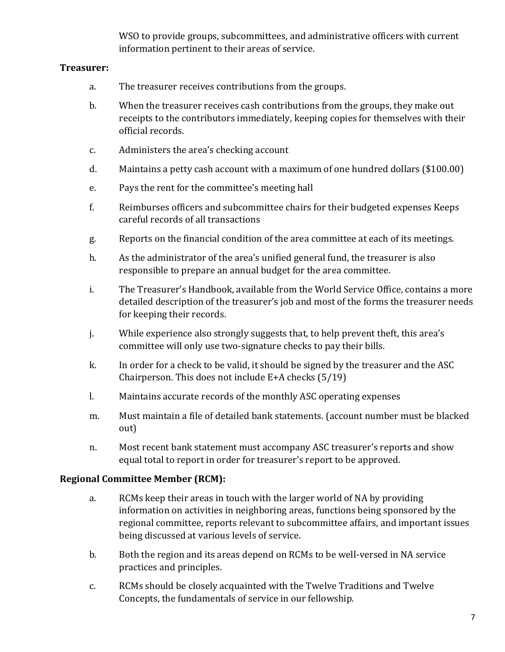WSO to provide groups, subcommittees, and administrative officers with current information pertinent to their areas of service.

#### **Treasurer:**

- a. The treasurer receives contributions from the groups.
- b. When the treasurer receives cash contributions from the groups, they make out receipts to the contributors immediately, keeping copies for themselves with their official records.
- c. Administers the area's checking account
- d. Maintains a petty cash account with a maximum of one hundred dollars (\$100.00)
- e. Pays the rent for the committee's meeting hall
- f. Reimburses officers and subcommittee chairs for their budgeted expenses Keeps careful records of all transactions
- g. Reports on the financial condition of the area committee at each of its meetings.
- h. As the administrator of the area's unified general fund, the treasurer is also responsible to prepare an annual budget for the area committee.
- i. The Treasurer's Handbook, available from the World Service Office, contains a more detailed description of the treasurer's job and most of the forms the treasurer needs for keeping their records.
- j. While experience also strongly suggests that, to help prevent theft, this area's committee will only use two-signature checks to pay their bills.
- k. In order for a check to be valid, it should be signed by the treasurer and the ASC Chairperson. This does not include  $E+A$  checks  $(5/19)$
- l. Maintains accurate records of the monthly ASC operating expenses
- m. Must maintain a file of detailed bank statements. (account number must be blacked out)
- n. Most recent bank statement must accompany ASC treasurer's reports and show equal total to report in order for treasurer's report to be approved.

#### **Regional Committee Member (RCM):**

- a. RCMs keep their areas in touch with the larger world of NA by providing information on activities in neighboring areas, functions being sponsored by the regional committee, reports relevant to subcommittee affairs, and important issues being discussed at various levels of service.
- b. Both the region and its areas depend on RCMs to be well-versed in NA service practices and principles.
- c. RCMs should be closely acquainted with the Twelve Traditions and Twelve Concepts, the fundamentals of service in our fellowship.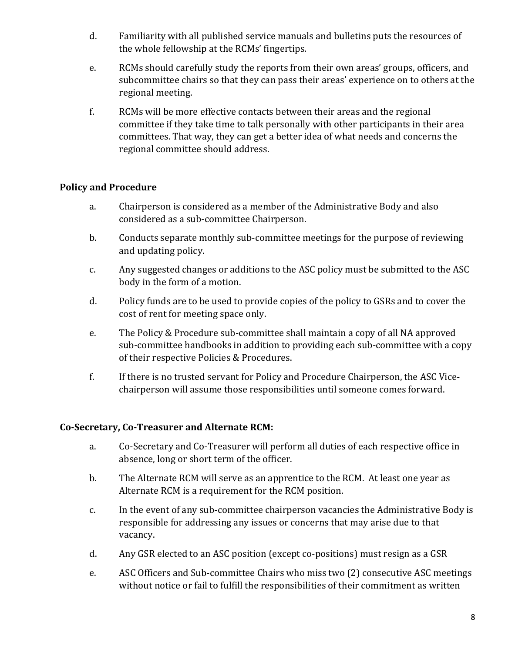- d. Familiarity with all published service manuals and bulletins puts the resources of the whole fellowship at the RCMs' fingertips.
- e. RCMs should carefully study the reports from their own areas' groups, officers, and subcommittee chairs so that they can pass their areas' experience on to others at the regional meeting.
- f. RCMs will be more effective contacts between their areas and the regional committee if they take time to talk personally with other participants in their area committees. That way, they can get a better idea of what needs and concerns the regional committee should address.

#### **Policy and Procedure**

- a. Chairperson is considered as a member of the Administrative Body and also considered as a sub-committee Chairperson.
- b. Conducts separate monthly sub-committee meetings for the purpose of reviewing and updating policy.
- c. Any suggested changes or additions to the ASC policy must be submitted to the ASC body in the form of a motion.
- d. Policy funds are to be used to provide copies of the policy to GSRs and to cover the cost of rent for meeting space only.
- e. The Policy & Procedure sub-committee shall maintain a copy of all NA approved sub-committee handbooks in addition to providing each sub-committee with a copy of their respective Policies & Procedures.
- f. If there is no trusted servant for Policy and Procedure Chairperson, the ASC Vicechairperson will assume those responsibilities until someone comes forward.

#### **Co-Secretary, Co-Treasurer and Alternate RCM:**

- a. Co-Secretary and Co-Treasurer will perform all duties of each respective office in absence, long or short term of the officer.
- b. The Alternate RCM will serve as an apprentice to the RCM. At least one year as Alternate RCM is a requirement for the RCM position.
- c. In the event of any sub-committee chairperson vacancies the Administrative Body is responsible for addressing any issues or concerns that may arise due to that vacancy.
- d. Any GSR elected to an ASC position (except co-positions) must resign as a GSR
- e. ASC Officers and Sub-committee Chairs who miss two (2) consecutive ASC meetings without notice or fail to fulfill the responsibilities of their commitment as written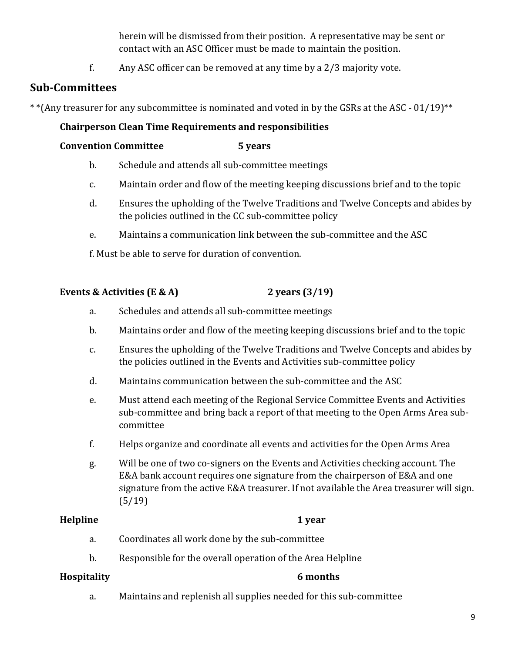herein will be dismissed from their position. A representative may be sent or contact with an ASC Officer must be made to maintain the position.

f. Any ASC officer can be removed at any time by a 2/3 majority vote.

### **Sub-Committees**

 $*$ <sup>\*</sup>(Any treasurer for any subcommittee is nominated and voted in by the GSRs at the ASC - 01/19) $**$ 

#### **Chairperson Clean Time Requirements and responsibilities**

#### **Convention Committee 5 years**

- b. Schedule and attends all sub-committee meetings
- c. Maintain order and flow of the meeting keeping discussions brief and to the topic
- d. Ensures the upholding of the Twelve Traditions and Twelve Concepts and abides by the policies outlined in the CC sub-committee policy
- e. Maintains a communication link between the sub-committee and the ASC

f. Must be able to serve for duration of convention.

#### **Events & Activities (E & A) 2** years  $(3/19)$

- a. Schedules and attends all sub-committee meetings
- b. Maintains order and flow of the meeting keeping discussions brief and to the topic
- c. Ensures the upholding of the Twelve Traditions and Twelve Concepts and abides by the policies outlined in the Events and Activities sub-committee policy
- d. Maintains communication between the sub-committee and the ASC
- e. Must attend each meeting of the Regional Service Committee Events and Activities sub-committee and bring back a report of that meeting to the Open Arms Area subcommittee
- f. Helps organize and coordinate all events and activities for the Open Arms Area
- g. Will be one of two co-signers on the Events and Activities checking account. The E&A bank account requires one signature from the chairperson of E&A and one signature from the active E&A treasurer. If not available the Area treasurer will sign. (5/19)

#### **Helpline 1** year

- a. Coordinates all work done by the sub-committee
- b. Responsible for the overall operation of the Area Helpline

#### **Hospitality 6 months**

a. Maintains and replenish all supplies needed for this sub-committee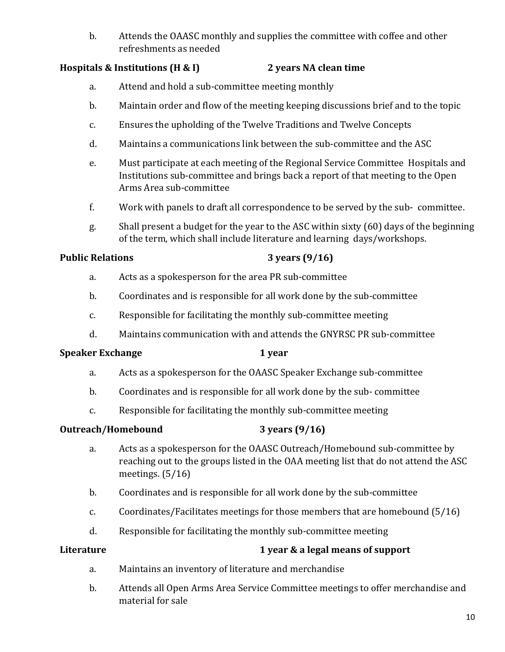b. Attends the OAASC monthly and supplies the committee with coffee and other refreshments as needed

#### **Hospitals & Institutions (H & I) 2** years NA clean time

- a. Attend and hold a sub-committee meeting monthly
- b. Maintain order and flow of the meeting keeping discussions brief and to the topic
- c. Ensures the upholding of the Twelve Traditions and Twelve Concepts
- d. Maintains a communications link between the sub-committee and the ASC
- e. Must participate at each meeting of the Regional Service Committee Hospitals and Institutions sub-committee and brings back a report of that meeting to the Open Arms Area sub-committee
- f. Work with panels to draft all correspondence to be served by the sub- committee.
- g. Shall present a budget for the year to the ASC within sixty (60) days of the beginning of the term, which shall include literature and learning days/workshops.

#### **Public Relations 3** years (9/16)

- a. Acts as a spokesperson for the area PR sub-committee
- b. Coordinates and is responsible for all work done by the sub-committee
- c. Responsible for facilitating the monthly sub-committee meeting
- d. Maintains communication with and attends the GNYRSC PR sub-committee

#### **Speaker Exchange 1 year**

- a. Acts as a spokesperson for the OAASC Speaker Exchange sub-committee
- b. Coordinates and is responsible for all work done by the sub- committee
- c. Responsible for facilitating the monthly sub-committee meeting

#### **Outreach/Homebound** 3 years (9/16)

- a. Acts as a spokesperson for the OAASC Outreach/Homebound sub-committee by reaching out to the groups listed in the OAA meeting list that do not attend the ASC meetings.  $(5/16)$
- b. Coordinates and is responsible for all work done by the sub-committee
- c. Coordinates/Facilitates meetings for those members that are homebound  $(5/16)$
- d. Responsible for facilitating the monthly sub-committee meeting

#### **Literature** *C C C C C C C C C C <i>C C C C C C C C C C C C C C C C C C C C C C C C C*

- a. Maintains an inventory of literature and merchandise
- b. Attends all Open Arms Area Service Committee meetings to offer merchandise and material for sale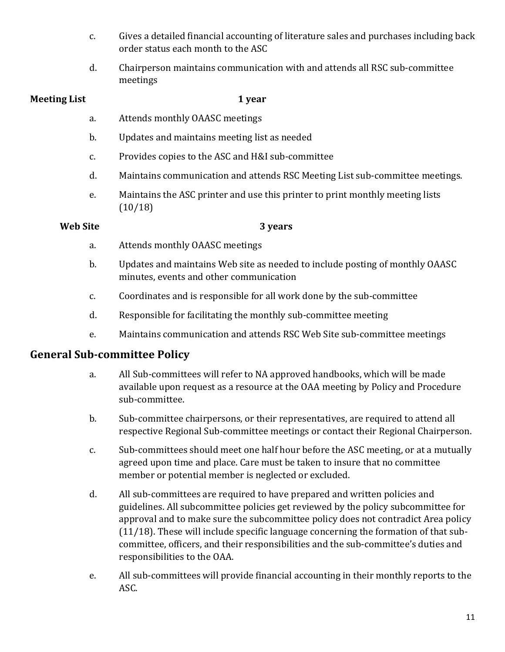- c. Gives a detailed financial accounting of literature sales and purchases including back order status each month to the ASC
- d. Chairperson maintains communication with and attends all RSC sub-committee meetings

#### **Meeting List 1 year**

- a. Attends monthly OAASC meetings
- b. Updates and maintains meeting list as needed
- c. Provides copies to the ASC and H&I sub-committee
- d. Maintains communication and attends RSC Meeting List sub-committee meetings.
- e. Maintains the ASC printer and use this printer to print monthly meeting lists (10/18)

#### **Web Site** 3 years

- a. Attends monthly OAASC meetings
- b. Updates and maintains Web site as needed to include posting of monthly OAASC minutes, events and other communication
- c. Coordinates and is responsible for all work done by the sub-committee
- d. Responsible for facilitating the monthly sub-committee meeting
- e. Maintains communication and attends RSC Web Site sub-committee meetings

#### **General Sub-committee Policy**

- a. All Sub-committees will refer to NA approved handbooks, which will be made available upon request as a resource at the OAA meeting by Policy and Procedure sub-committee.
- b. Sub-committee chairpersons, or their representatives, are required to attend all respective Regional Sub-committee meetings or contact their Regional Chairperson.
- c. Sub-committees should meet one half hour before the ASC meeting, or at a mutually agreed upon time and place. Care must be taken to insure that no committee member or potential member is neglected or excluded.
- d. All sub-committees are required to have prepared and written policies and guidelines. All subcommittee policies get reviewed by the policy subcommittee for approval and to make sure the subcommittee policy does not contradict Area policy  $(11/18)$ . These will include specific language concerning the formation of that subcommittee, officers, and their responsibilities and the sub-committee's duties and responsibilities to the OAA.
- e. All sub-committees will provide financial accounting in their monthly reports to the ASC.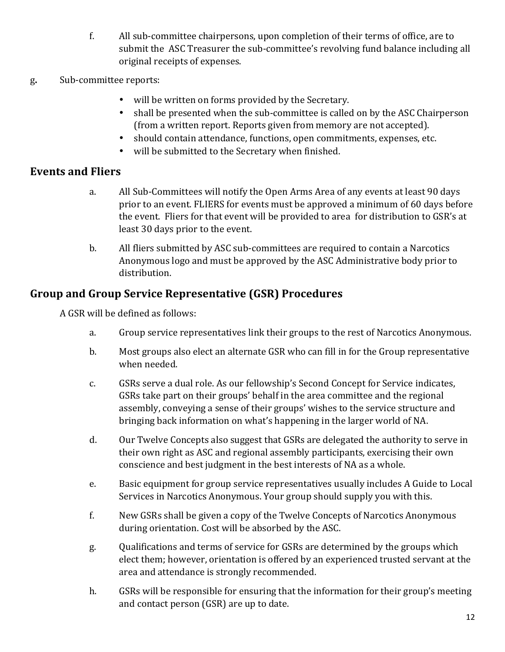- f. All sub-committee chairpersons, upon completion of their terms of office, are to submit the ASC Treasurer the sub-committee's revolving fund balance including all original receipts of expenses.
- g. Sub-committee reports:
	- will be written on forms provided by the Secretary.
	- shall be presented when the sub-committee is called on by the ASC Chairperson (from a written report. Reports given from memory are not accepted).
	- should contain attendance, functions, open commitments, expenses, etc.
	- will be submitted to the Secretary when finished.

### **Events and Fliers**

- a. All Sub-Committees will notify the Open Arms Area of any events at least 90 days prior to an event. FLIERS for events must be approved a minimum of 60 days before the event. Fliers for that event will be provided to area for distribution to GSR's at least 30 days prior to the event.
- b. All fliers submitted by ASC sub-committees are required to contain a Narcotics Anonymous logo and must be approved by the ASC Administrative body prior to distribution.

### **Group and Group Service Representative (GSR) Procedures**

A GSR will be defined as follows:

- a. Group service representatives link their groups to the rest of Narcotics Anonymous.
- b. Most groups also elect an alternate GSR who can fill in for the Group representative when needed.
- c. GSRs serve a dual role. As our fellowship's Second Concept for Service indicates, GSRs take part on their groups' behalf in the area committee and the regional assembly, conveying a sense of their groups' wishes to the service structure and bringing back information on what's happening in the larger world of NA.
- d. Our Twelve Concepts also suggest that GSRs are delegated the authority to serve in their own right as ASC and regional assembly participants, exercising their own conscience and best judgment in the best interests of NA as a whole.
- e. Basic equipment for group service representatives usually includes A Guide to Local Services in Narcotics Anonymous. Your group should supply you with this.
- f. New GSRs shall be given a copy of the Twelve Concepts of Narcotics Anonymous during orientation. Cost will be absorbed by the ASC.
- g. Qualifications and terms of service for GSRs are determined by the groups which elect them; however, orientation is offered by an experienced trusted servant at the area and attendance is strongly recommended.
- h. GSRs will be responsible for ensuring that the information for their group's meeting and contact person (GSR) are up to date.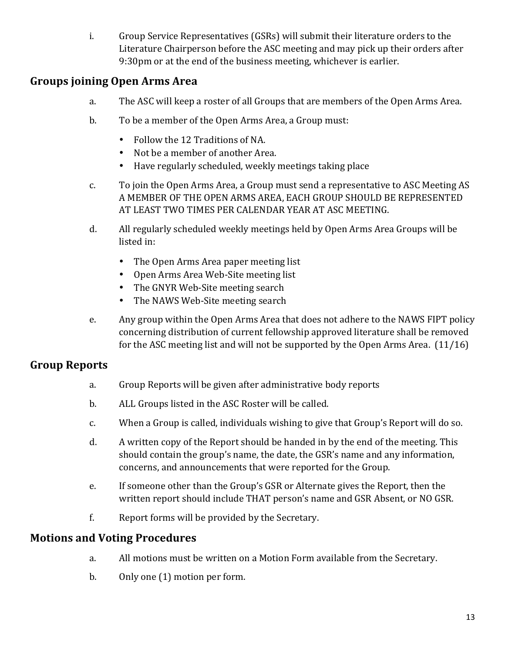i. Group Service Representatives (GSRs) will submit their literature orders to the Literature Chairperson before the ASC meeting and may pick up their orders after 9:30pm or at the end of the business meeting, whichever is earlier.

### **Groups joining Open Arms Area**

- a. The ASC will keep a roster of all Groups that are members of the Open Arms Area.
- b. To be a member of the Open Arms Area, a Group must:
	- Follow the 12 Traditions of NA.
	- Not be a member of another Area.
	- Have regularly scheduled, weekly meetings taking place
- c. To join the Open Arms Area, a Group must send a representative to ASC Meeting AS A MEMBER OF THE OPEN ARMS AREA, EACH GROUP SHOULD BE REPRESENTED AT LEAST TWO TIMES PER CALENDAR YEAR AT ASC MEETING.
- d. All regularly scheduled weekly meetings held by Open Arms Area Groups will be listed in:
	- The Open Arms Area paper meeting list
	- Open Arms Area Web-Site meeting list
	- The GNYR Web-Site meeting search
	- The NAWS Web-Site meeting search
- e. Any group within the Open Arms Area that does not adhere to the NAWS FIPT policy concerning distribution of current fellowship approved literature shall be removed for the ASC meeting list and will not be supported by the Open Arms Area.  $(11/16)$

### **Group Reports**

- a. Group Reports will be given after administrative body reports
- b. ALL Groups listed in the ASC Roster will be called.
- c. When a Group is called, individuals wishing to give that Group's Report will do so.
- d. A written copy of the Report should be handed in by the end of the meeting. This should contain the group's name, the date, the GSR's name and any information, concerns, and announcements that were reported for the Group.
- e. If someone other than the Group's GSR or Alternate gives the Report, then the written report should include THAT person's name and GSR Absent, or NO GSR.
- f. Report forms will be provided by the Secretary.

#### **Motions and Voting Procedures**

- a. All motions must be written on a Motion Form available from the Secretary.
- b. Only one (1) motion per form.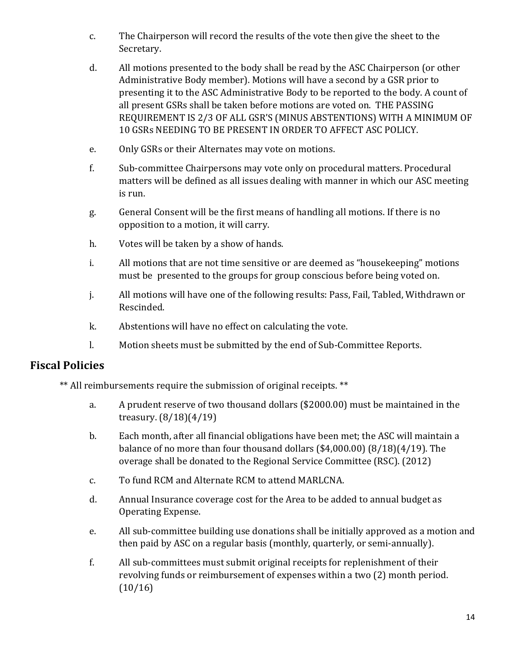- c. The Chairperson will record the results of the vote then give the sheet to the Secretary.
- d. All motions presented to the body shall be read by the ASC Chairperson (or other Administrative Body member). Motions will have a second by a GSR prior to presenting it to the ASC Administrative Body to be reported to the body. A count of all present GSRs shall be taken before motions are voted on. THE PASSING REQUIREMENT IS 2/3 OF ALL GSR'S (MINUS ABSTENTIONS) WITH A MINIMUM OF 10 GSRs NEEDING TO BE PRESENT IN ORDER TO AFFECT ASC POLICY.
- e. Only GSRs or their Alternates may vote on motions.
- f. Sub-committee Chairpersons may vote only on procedural matters. Procedural matters will be defined as all issues dealing with manner in which our ASC meeting is run.
- g. General Consent will be the first means of handling all motions. If there is no opposition to a motion, it will carry.
- h. Votes will be taken by a show of hands.
- i. All motions that are not time sensitive or are deemed as "housekeeping" motions must be presented to the groups for group conscious before being voted on.
- j. All motions will have one of the following results: Pass, Fail, Tabled, Withdrawn or Rescinded.
- k. Abstentions will have no effect on calculating the vote.
- l. Motion sheets must be submitted by the end of Sub-Committee Reports.

#### **Fiscal Policies**

\*\* All reimbursements require the submission of original receipts. \*\*

- a. A prudent reserve of two thousand dollars (\$2000.00) must be maintained in the treasury.  $(8/18)(4/19)$
- b. Each month, after all financial obligations have been met; the ASC will maintain a balance of no more than four thousand dollars  $(4,000.00)$   $(8/18)(4/19)$ . The overage shall be donated to the Regional Service Committee (RSC). (2012)
- c. To fund RCM and Alternate RCM to attend MARLCNA.
- d. Annual Insurance coverage cost for the Area to be added to annual budget as Operating Expense.
- e. All sub-committee building use donations shall be initially approved as a motion and then paid by ASC on a regular basis (monthly, quarterly, or semi-annually).
- f. All sub-committees must submit original receipts for replenishment of their revolving funds or reimbursement of expenses within a two (2) month period.  $(10/16)$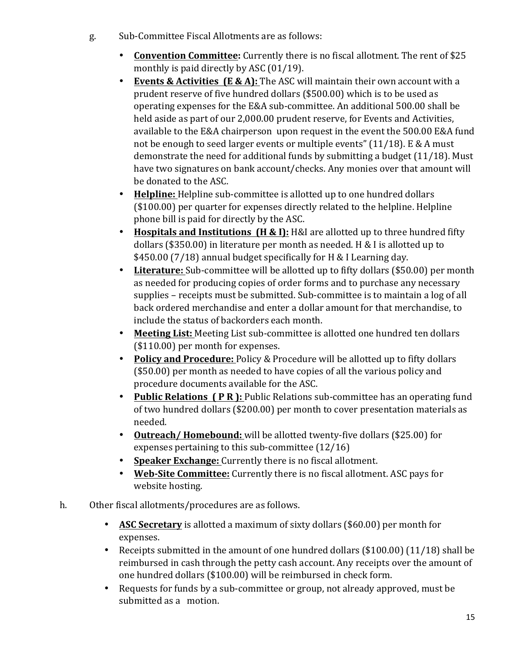- g. Sub-Committee Fiscal Allotments are as follows:
	- **Convention Committee:** Currently there is no fiscal allotment. The rent of \$25 monthly is paid directly by ASC  $(01/19)$ .
	- Events & Activities (E & A): The ASC will maintain their own account with a prudent reserve of five hundred dollars (\$500.00) which is to be used as operating expenses for the E&A sub-committee. An additional 500.00 shall be held aside as part of our 2,000.00 prudent reserve, for Events and Activities, available to the E&A chairperson upon request in the event the 500.00 E&A fund not be enough to seed larger events or multiple events"  $(11/18)$ . E & A must demonstrate the need for additional funds by submitting a budget  $(11/18)$ . Must have two signatures on bank account/checks. Any monies over that amount will be donated to the ASC.
	- Helpline: Helpline sub-committee is allotted up to one hundred dollars  $($100.00)$  per quarter for expenses directly related to the helpline. Helpline phone bill is paid for directly by the ASC.
	- Hospitals and Institutions (H & I): H&I are allotted up to three hundred fifty dollars (\$350.00) in literature per month as needed. H & I is allotted up to \$450.00 (7/18) annual budget specifically for H & I Learning day.
	- **Literature:** Sub-committee will be allotted up to fifty dollars (\$50.00) per month as needed for producing copies of order forms and to purchase any necessary supplies – receipts must be submitted. Sub-committee is to maintain a log of all back ordered merchandise and enter a dollar amount for that merchandise, to include the status of backorders each month.
	- Meeting List: Meeting List sub-committee is allotted one hundred ten dollars  $($110.00)$  per month for expenses.
	- **Policy and Procedure:** Policy & Procedure will be allotted up to fifty dollars  $($50.00)$  per month as needed to have copies of all the various policy and procedure documents available for the ASC.
	- **Public Relations (PR):** Public Relations sub-committee has an operating fund of two hundred dollars (\$200.00) per month to cover presentation materials as needed.
	- Outreach/ Homebound: will be allotted twenty-five dollars (\$25.00) for expenses pertaining to this sub-committee  $(12/16)$
	- **Speaker Exchange:** Currently there is no fiscal allotment.
	- **Web-Site Committee:** Currently there is no fiscal allotment. ASC pays for website hosting.
- h. Other fiscal allotments/procedures are as follows.
	- ASC Secretary is allotted a maximum of sixty dollars (\$60.00) per month for expenses.
	- Receipts submitted in the amount of one hundred dollars  $(\$100.00)$   $(11/18)$  shall be reimbursed in cash through the petty cash account. Any receipts over the amount of one hundred dollars (\$100.00) will be reimbursed in check form.
	- Requests for funds by a sub-committee or group, not already approved, must be submitted as a motion.